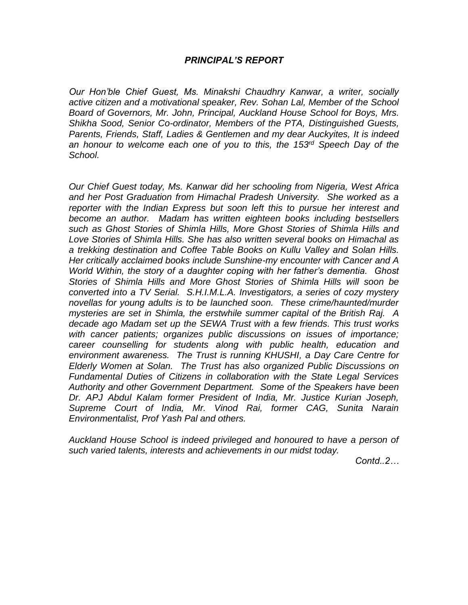# *PRINCIPAL'S REPORT*

*Our Hon'ble Chief Guest, Ms. Minakshi Chaudhry Kanwar, a writer, socially active citizen and a motivational speaker, Rev. Sohan Lal, Member of the School Board of Governors, Mr. John, Principal, Auckland House School for Boys, Mrs. Shikha Sood, Senior Co-ordinator, Members of the PTA, Distinguished Guests, Parents, Friends, Staff, Ladies & Gentlemen and my dear Auckyites, It is indeed an honour to welcome each one of you to this, the 153rd Speech Day of the School.*

*Our Chief Guest today, Ms. Kanwar did her schooling from Nigeria, West Africa and her Post Graduation from Himachal Pradesh University. She worked as a reporter with the Indian Express but soon left this to pursue her interest and become an author. Madam has written eighteen books including bestsellers such as Ghost Stories of Shimla Hills, More Ghost Stories of Shimla Hills and Love Stories of Shimla Hills. She has also written several books on Himachal as a trekking destination and Coffee Table Books on Kullu Valley and Solan Hills. Her critically acclaimed books include Sunshine-my encounter with Cancer and A World Within, the story of a daughter coping with her father's dementia. Ghost Stories of Shimla Hills and More Ghost Stories of Shimla Hills will soon be converted into a TV Serial. S.H.I.M.L.A. Investigators, a series of cozy mystery novellas for young adults is to be launched soon. These crime/haunted/murder mysteries are set in Shimla, the erstwhile summer capital of the British Raj. A decade ago Madam set up the SEWA Trust with a few friends. This trust works with cancer patients; organizes public discussions on issues of importance; career counselling for students along with public health, education and environment awareness. The Trust is running KHUSHI, a Day Care Centre for Elderly Women at Solan. The Trust has also organized Public Discussions on Fundamental Duties of Citizens in collaboration with the State Legal Services Authority and other Government Department. Some of the Speakers have been Dr. APJ Abdul Kalam former President of India, Mr. Justice Kurian Joseph, Supreme Court of India, Mr. Vinod Rai, former CAG, Sunita Narain Environmentalist, Prof Yash Pal and others.*

*Auckland House School is indeed privileged and honoured to have a person of such varied talents, interests and achievements in our midst today.*

*Contd..2…*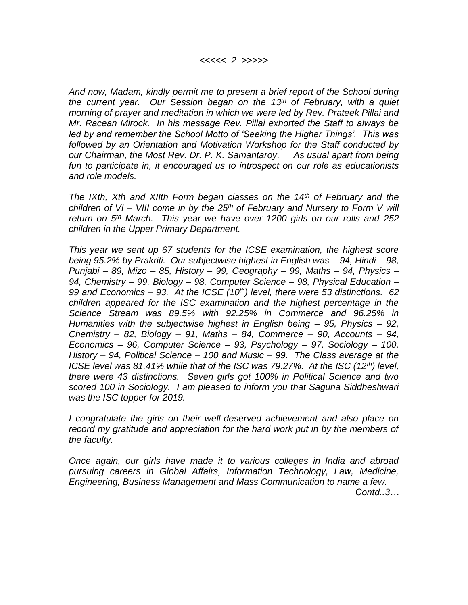*And now, Madam, kindly permit me to present a brief report of the School during the current year. Our Session began on the 13th of February, with a quiet morning of prayer and meditation in which we were led by Rev. Prateek Pillai and Mr. Racean Mirock. In his message Rev. Pillai exhorted the Staff to always be led by and remember the School Motto of 'Seeking the Higher Things'. This was followed by an Orientation and Motivation Workshop for the Staff conducted by our Chairman, the Most Rev. Dr. P. K. Samantaroy. As usual apart from being fun to participate in, it encouraged us to introspect on our role as educationists and role models.*

*The IXth, Xth and XIIth Form began classes on the 14th of February and the children of VI – VIII come in by the 25th of February and Nursery to Form V will return on 5th March. This year we have over 1200 girls on our rolls and 252 children in the Upper Primary Department.*

*This year we sent up 67 students for the ICSE examination, the highest score being 95.2% by Prakriti. Our subjectwise highest in English was – 94, Hindi – 98, Punjabi – 89, Mizo – 85, History – 99, Geography – 99, Maths – 94, Physics – 94, Chemistry – 99, Biology – 98, Computer Science – 98, Physical Education – 99 and Economics – 93. At the ICSE (10th) level, there were 53 distinctions. 62 children appeared for the ISC examination and the highest percentage in the Science Stream was 89.5% with 92.25% in Commerce and 96.25% in Humanities with the subjectwise highest in English being – 95, Physics – 92, Chemistry – 82, Biology – 91, Maths – 84, Commerce – 90, Accounts – 94, Economics – 96, Computer Science – 93, Psychology – 97, Sociology – 100, History – 94, Political Science – 100 and Music – 99. The Class average at the ICSE level was 81.41% while that of the ISC was 79.27%. At the ISC (12th) level, there were 43 distinctions. Seven girls got 100% in Political Science and two scored 100 in Sociology. I am pleased to inform you that Saguna Siddheshwari was the ISC topper for 2019.*

*I congratulate the girls on their well-deserved achievement and also place on record my gratitude and appreciation for the hard work put in by the members of the faculty.* 

*Once again, our girls have made it to various colleges in India and abroad pursuing careers in Global Affairs, Information Technology, Law, Medicine, Engineering, Business Management and Mass Communication to name a few.* 

*Contd..3…*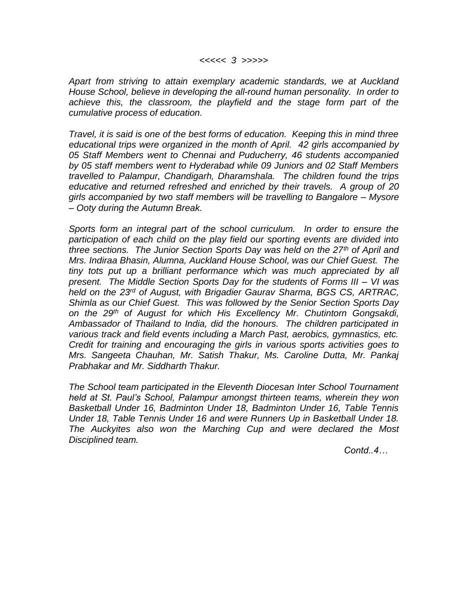*Apart from striving to attain exemplary academic standards, we at Auckland House School, believe in developing the all-round human personality. In order to achieve this, the classroom, the playfield and the stage form part of the cumulative process of education.*

*Travel, it is said is one of the best forms of education. Keeping this in mind three educational trips were organized in the month of April. 42 girls accompanied by 05 Staff Members went to Chennai and Puducherry, 46 students accompanied by 05 staff members went to Hyderabad while 09 Juniors and 02 Staff Members travelled to Palampur, Chandigarh, Dharamshala. The children found the trips educative and returned refreshed and enriched by their travels. A group of 20 girls accompanied by two staff members will be travelling to Bangalore – Mysore – Ooty during the Autumn Break.*

*Sports form an integral part of the school curriculum. In order to ensure the participation of each child on the play field our sporting events are divided into three sections. The Junior Section Sports Day was held on the 27th of April and Mrs. Indiraa Bhasin, Alumna, Auckland House School, was our Chief Guest. The tiny tots put up a brilliant performance which was much appreciated by all present. The Middle Section Sports Day for the students of Forms III – VI was held on the 23rd of August, with Brigadier Gaurav Sharma, BGS CS, ARTRAC, Shimla as our Chief Guest. This was followed by the Senior Section Sports Day on the 29th of August for which His Excellency Mr. Chutintorn Gongsakdi, Ambassador of Thailand to India, did the honours. The children participated in various track and field events including a March Past, aerobics, gymnastics, etc. Credit for training and encouraging the girls in various sports activities goes to Mrs. Sangeeta Chauhan, Mr. Satish Thakur, Ms. Caroline Dutta, Mr. Pankaj Prabhakar and Mr. Siddharth Thakur.* 

*The School team participated in the Eleventh Diocesan Inter School Tournament held at St. Paul's School, Palampur amongst thirteen teams, wherein they won Basketball Under 16, Badminton Under 18, Badminton Under 16, Table Tennis Under 18, Table Tennis Under 16 and were Runners Up in Basketball Under 18. The Auckyites also won the Marching Cup and were declared the Most Disciplined team.*

*Contd..4…*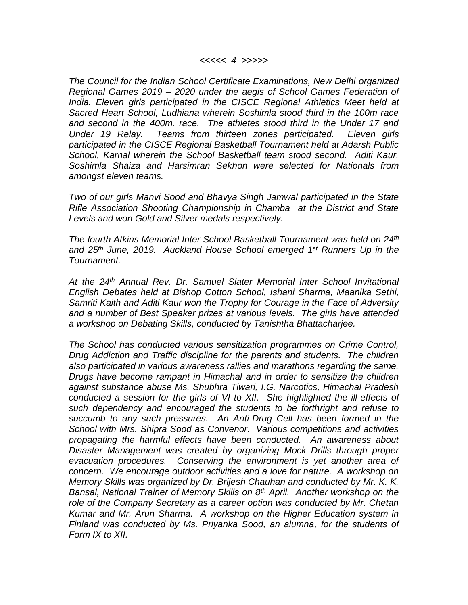#### *<<<<< 4 >>>>>*

*The Council for the Indian School Certificate Examinations, New Delhi organized Regional Games 2019 – 2020 under the aegis of School Games Federation of India. Eleven girls participated in the CISCE Regional Athletics Meet held at Sacred Heart School, Ludhiana wherein Soshimla stood third in the 100m race and second in the 400m. race. The athletes stood third in the Under 17 and Under 19 Relay. Teams from thirteen zones participated. Eleven girls participated in the CISCE Regional Basketball Tournament held at Adarsh Public School, Karnal wherein the School Basketball team stood second. Aditi Kaur, Soshimla Shaiza and Harsimran Sekhon were selected for Nationals from amongst eleven teams.* 

*Two of our girls Manvi Sood and Bhavya Singh Jamwal participated in the State Rifle Association Shooting Championship in Chamba at the District and State Levels and won Gold and Silver medals respectively.*

*The fourth Atkins Memorial Inter School Basketball Tournament was held on 24th and 25th June, 2019. Auckland House School emerged 1 st Runners Up in the Tournament.* 

*At the 24th Annual Rev. Dr. Samuel Slater Memorial Inter School Invitational English Debates held at Bishop Cotton School, Ishani Sharma, Maanika Sethi, Samriti Kaith and Aditi Kaur won the Trophy for Courage in the Face of Adversity and a number of Best Speaker prizes at various levels. The girls have attended a workshop on Debating Skills, conducted by Tanishtha Bhattacharjee.*

*The School has conducted various sensitization programmes on Crime Control, Drug Addiction and Traffic discipline for the parents and students. The children also participated in various awareness rallies and marathons regarding the same. Drugs have become rampant in Himachal and in order to sensitize the children against substance abuse Ms. Shubhra Tiwari, I.G. Narcotics, Himachal Pradesh conducted a session for the girls of VI to XII. She highlighted the ill-effects of such dependency and encouraged the students to be forthright and refuse to succumb to any such pressures. An Anti-Drug Cell has been formed in the School with Mrs. Shipra Sood as Convenor. Various competitions and activities propagating the harmful effects have been conducted. An awareness about Disaster Management was created by organizing Mock Drills through proper evacuation procedures. Conserving the environment is yet another area of concern. We encourage outdoor activities and a love for nature. A workshop on Memory Skills was organized by Dr. Brijesh Chauhan and conducted by Mr. K. K. Bansal, National Trainer of Memory Skills on 8th April. Another workshop on the*  role of the Company Secretary as a career option was conducted by Mr. Chetan *Kumar and Mr. Arun Sharma. A workshop on the Higher Education system in Finland was conducted by Ms. Priyanka Sood, an alumna, for the students of Form IX to XII.*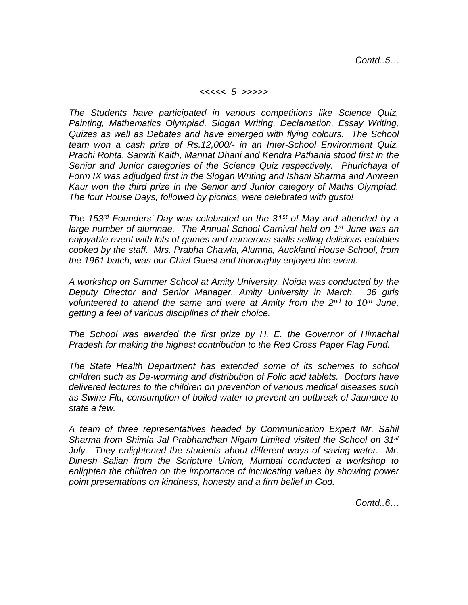*Contd..5…*

#### *<<<<< 5 >>>>>*

*The Students have participated in various competitions like Science Quiz, Painting, Mathematics Olympiad, Slogan Writing, Declamation, Essay Writing, Quizes as well as Debates and have emerged with flying colours. The School team won a cash prize of Rs.12,000/- in an Inter-School Environment Quiz. Prachi Rohta, Samriti Kaith, Mannat Dhani and Kendra Pathania stood first in the Senior and Junior categories of the Science Quiz respectively. Phurichaya of Form IX was adjudged first in the Slogan Writing and Ishani Sharma and Amreen Kaur won the third prize in the Senior and Junior category of Maths Olympiad. The four House Days, followed by picnics, were celebrated with gusto!*

*The 153rd Founders' Day was celebrated on the 31st of May and attended by a large number of alumnae. The Annual School Carnival held on 1st June was an enjoyable event with lots of games and numerous stalls selling delicious eatables cooked by the staff. Mrs. Prabha Chawla, Alumna, Auckland House School, from the 1961 batch, was our Chief Guest and thoroughly enjoyed the event.*

*A workshop on Summer School at Amity University, Noida was conducted by the Deputy Director and Senior Manager, Amity University in March. 36 girls volunteered to attend the same and were at Amity from the 2nd to 10th June, getting a feel of various disciplines of their choice.*

*The School was awarded the first prize by H. E. the Governor of Himachal Pradesh for making the highest contribution to the Red Cross Paper Flag Fund.*

*The State Health Department has extended some of its schemes to school children such as De-worming and distribution of Folic acid tablets. Doctors have delivered lectures to the children on prevention of various medical diseases such as Swine Flu, consumption of boiled water to prevent an outbreak of Jaundice to state a few.*

*A team of three representatives headed by Communication Expert Mr. Sahil Sharma from Shimla Jal Prabhandhan Nigam Limited visited the School on 31st July. They enlightened the students about different ways of saving water. Mr. Dinesh Salian from the Scripture Union, Mumbai conducted a workshop to enlighten the children on the importance of inculcating values by showing power point presentations on kindness, honesty and a firm belief in God.*

*Contd..6…*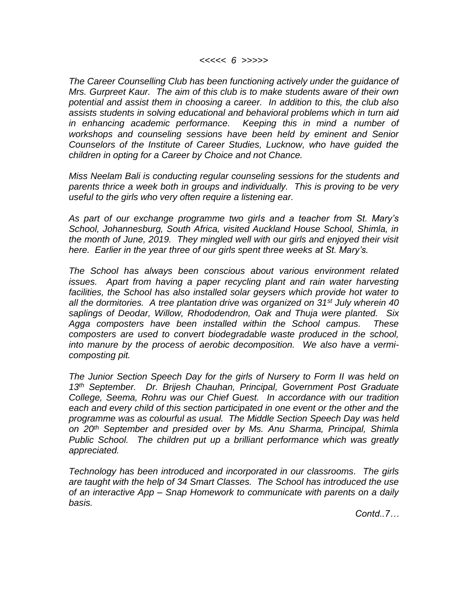*The Career Counselling Club has been functioning actively under the guidance of Mrs. Gurpreet Kaur. The aim of this club is to make students aware of their own potential and assist them in choosing a career. In addition to this, the club also assists students in solving educational and behavioral problems which in turn aid in enhancing academic performance. Keeping this in mind a number of workshops and counseling sessions have been held by eminent and Senior Counselors of the Institute of Career Studies, Lucknow, who have guided the children in opting for a Career by Choice and not Chance.* 

*Miss Neelam Bali is conducting regular counseling sessions for the students and parents thrice a week both in groups and individually. This is proving to be very useful to the girls who very often require a listening ear.* 

*As part of our exchange programme two girls and a teacher from St. Mary's School, Johannesburg, South Africa, visited Auckland House School, Shimla, in the month of June, 2019. They mingled well with our girls and enjoyed their visit here. Earlier in the year three of our girls spent three weeks at St. Mary's.*

*The School has always been conscious about various environment related issues.* Apart from having a paper recycling plant and rain water harvesting *facilities, the School has also installed solar geysers which provide hot water to all the dormitories. A tree plantation drive was organized on 31st July wherein 40 saplings of Deodar, Willow, Rhododendron, Oak and Thuja were planted. Six Agga composters have been installed within the School campus. These composters are used to convert biodegradable waste produced in the school, into manure by the process of aerobic decomposition. We also have a vermicomposting pit.*

*The Junior Section Speech Day for the girls of Nursery to Form II was held on 13th September. Dr. Brijesh Chauhan, Principal, Government Post Graduate College, Seema, Rohru was our Chief Guest. In accordance with our tradition each and every child of this section participated in one event or the other and the programme was as colourful as usual. The Middle Section Speech Day was held on 20th September and presided over by Ms. Anu Sharma, Principal, Shimla Public School. The children put up a brilliant performance which was greatly appreciated.*

*Technology has been introduced and incorporated in our classrooms. The girls are taught with the help of 34 Smart Classes. The School has introduced the use of an interactive App – Snap Homework to communicate with parents on a daily basis.*

*Contd..7…*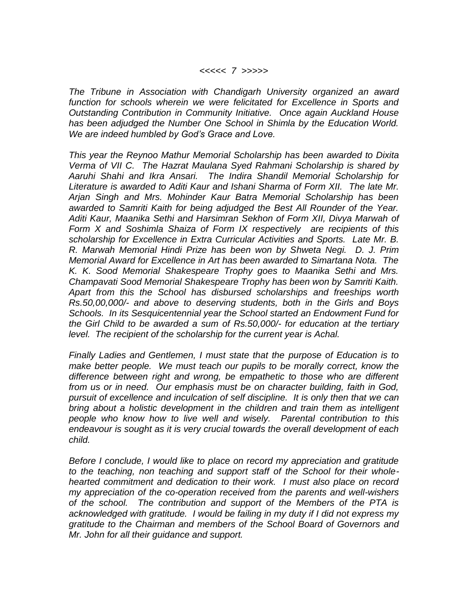## *<<<<< 7 >>>>>*

*The Tribune in Association with Chandigarh University organized an award function for schools wherein we were felicitated for Excellence in Sports and Outstanding Contribution in Community Initiative. Once again Auckland House has been adjudged the Number One School in Shimla by the Education World. We are indeed humbled by God's Grace and Love.*

*This year the Reynoo Mathur Memorial Scholarship has been awarded to Dixita Verma of VII C. The Hazrat Maulana Syed Rahmani Scholarship is shared by Aaruhi Shahi and Ikra Ansari. The Indira Shandil Memorial Scholarship for Literature is awarded to Aditi Kaur and Ishani Sharma of Form XII. The late Mr. Arjan Singh and Mrs. Mohinder Kaur Batra Memorial Scholarship has been awarded to Samriti Kaith for being adjudged the Best All Rounder of the Year. Aditi Kaur, Maanika Sethi and Harsimran Sekhon of Form XII, Divya Marwah of Form X and Soshimla Shaiza of Form IX respectively are recipients of this scholarship for Excellence in Extra Curricular Activities and Sports. Late Mr. B. R. Marwah Memorial Hindi Prize has been won by Shweta Negi. D. J. Prim Memorial Award for Excellence in Art has been awarded to Simartana Nota. The K. K. Sood Memorial Shakespeare Trophy goes to Maanika Sethi and Mrs. Champavati Sood Memorial Shakespeare Trophy has been won by Samriti Kaith. Apart from this the School has disbursed scholarships and freeships worth Rs.50,00,000/- and above to deserving students, both in the Girls and Boys Schools. In its Sesquicentennial year the School started an Endowment Fund for the Girl Child to be awarded a sum of Rs.50,000/- for education at the tertiary level. The recipient of the scholarship for the current year is Achal.*

*Finally Ladies and Gentlemen, I must state that the purpose of Education is to make better people. We must teach our pupils to be morally correct, know the difference between right and wrong, be empathetic to those who are different from us or in need. Our emphasis must be on character building, faith in God, pursuit of excellence and inculcation of self discipline. It is only then that we can bring about a holistic development in the children and train them as intelligent people who know how to live well and wisely. Parental contribution to this endeavour is sought as it is very crucial towards the overall development of each child.*

*Before I conclude, I would like to place on record my appreciation and gratitude to the teaching, non teaching and support staff of the School for their wholehearted commitment and dedication to their work. I must also place on record my appreciation of the co-operation received from the parents and well-wishers of the school. The contribution and support of the Members of the PTA is acknowledged with gratitude. I would be failing in my duty if I did not express my gratitude to the Chairman and members of the School Board of Governors and Mr. John for all their guidance and support.*